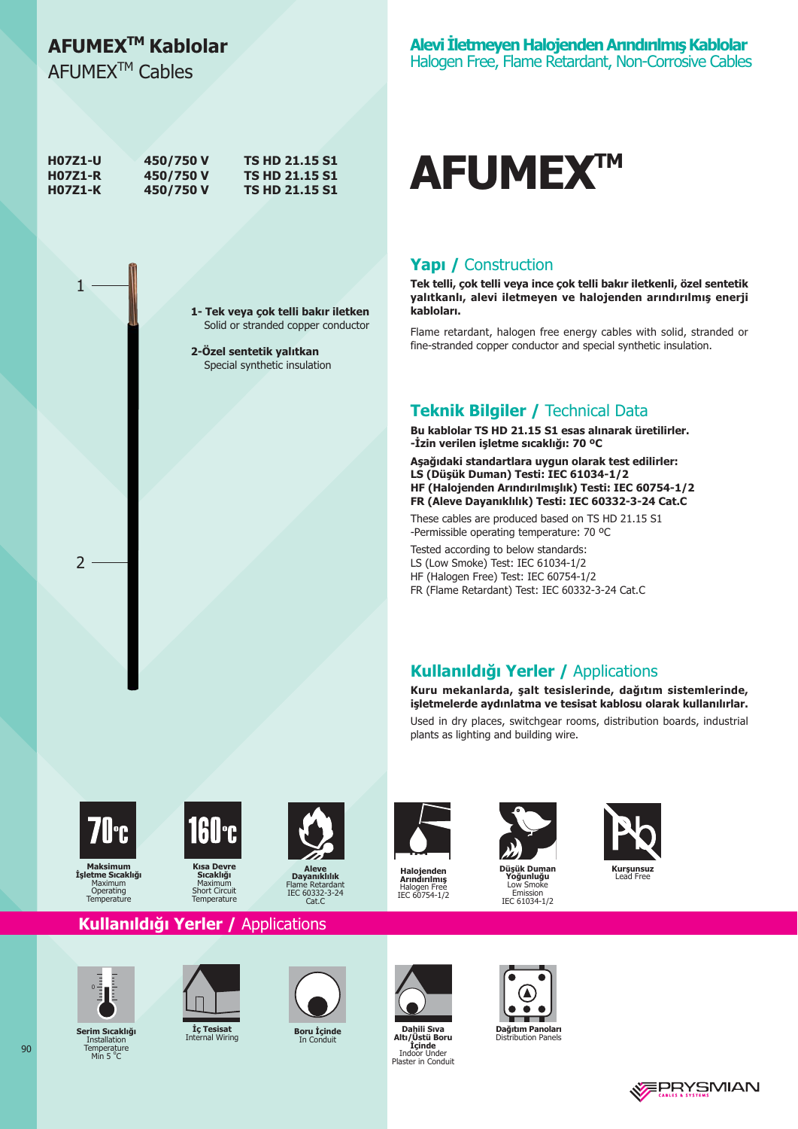# AFUMEX<sup>™</sup> Kablolar

AFUMEX<sup>™</sup> Cables

 $\mathbf{1}$ 

 $\mathcal{P}$ 

| <b>H07Z1-U</b> | 450/750 V | <b>TS HD 21.15 S1</b> |
|----------------|-----------|-----------------------|
| <b>H07Z1-R</b> | 450/750 V | <b>TS HD 21.15 S1</b> |
| <b>H07Z1-K</b> | 450/750 V | <b>TS HD 21.15 S1</b> |

1- Tek veya çok telli bakır iletken Solid or stranded copper conductor

2-Özel sentetik yalıtkan Special synthetic insulation



#### Yapı / Construction

Tek telli, çok telli veya ince çok telli bakır iletkenli, özel sentetik yalıtkanlı, alevi iletmeyen ve halojenden arındırılmış enerji kabloları.

Flame retardant, halogen free energy cables with solid, stranded or fine-stranded copper conductor and special synthetic insulation.

### **Teknik Bilgiler / Technical Data**

Bu kablolar TS HD 21.15 S1 esas alınarak üretilirler. -İzin verilen işletme sıcaklığı: 70 °C

Aşağıdaki standartlara uygun olarak test edilirler: LS (Düşük Duman) Testi: IEC 61034-1/2 HF (Halojenden Arındırılmışlık) Testi: IEC 60754-1/2 FR (Aleve Dayanıklılık) Testi: IEC 60332-3-24 Cat.C

These cables are produced based on TS HD 21.15 S1 -Permissible operating temperature: 70 °C

Tested according to below standards: LS (Low Smoke) Test: IEC 61034-1/2 HF (Halogen Free) Test: IEC 60754-1/2 FR (Flame Retardant) Test: IEC 60332-3-24 Cat.C

### Kullanıldığı Yerler / Applications

Kuru mekanlarda, şalt tesislerinde, dağıtım sistemlerinde, isletmelerde aydınlatma ve tesisat kablosu olarak kullanılırlar. Used in dry places, switchgear rooms, distribution boards, industrial

**Maksimum** 

Işletme Sıcaklığı

Operating<br>Temperature



**Kisa Devre** Sıcaklığ Maximu Short Circuit<br>Temperature



Dayanıklılık<br>Iame Retardan IEC 60332-3-24  $Cat$ 



**Halojenden**<br>**Arındırılmış**<br>Halogen Free<br>IEC 60754-1/2



plants as lighting and building wire.

Düsük Dumar oğunluğu Low Smoke Emission<br>IEC 61034-1/2



Kullanıldığı Yerler / Applications



Serim Sıcaklığı **Installation** Temperature<br>Min 5 °C



Iç Tesisat al Wiring Int



Boru İçinde In Conduit



Dahili Sıva Altı/Üstü Boru **Altriguide**<br> **Indoor Under**<br>
Plaster in Conduit



**Dağıtım Panoları**<br>Distribution Panels